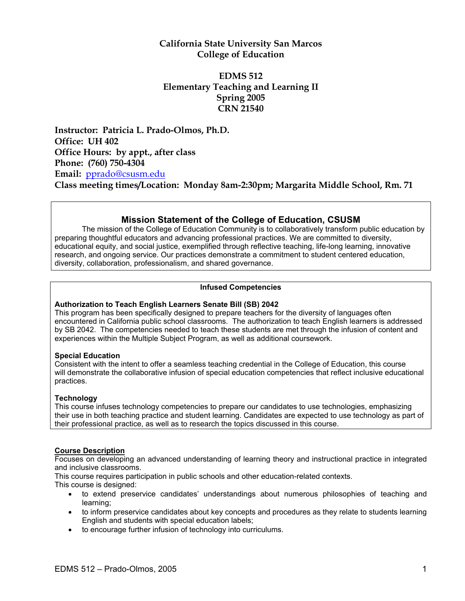## **California State University San Marcos College of Education**

## **EDMS 512 Elementary Teaching and Learning II Spring 2005 CRN 21540**

**Instructor: Patricia L. Prado-Olmos, Ph.D. Office: UH 402 Office Hours: by appt., after class Phone: (760) 750-4304 Email:** pprado@csusm.edu **Class meeting times/Location: Monday 8am-2:30pm; Margarita Middle School, Rm. 71**

## **Mission Statement of the College of Education, CSUSM**

The mission of the College of Education Community is to collaboratively transform public education by preparing thoughtful educators and advancing professional practices. We are committed to diversity, educational equity, and social justice, exemplified through reflective teaching, life-long learning, innovative research, and ongoing service. Our practices demonstrate a commitment to student centered education, diversity, collaboration, professionalism, and shared governance.

### **Infused Competencies**

### **Authorization to Teach English Learners Senate Bill (SB) 2042**

This program has been specifically designed to prepare teachers for the diversity of languages often encountered in California public school classrooms. The authorization to teach English learners is addressed by SB 2042. The competencies needed to teach these students are met through the infusion of content and experiences within the Multiple Subject Program, as well as additional coursework.

#### **Special Education**

Consistent with the intent to offer a seamless teaching credential in the College of Education, this course will demonstrate the collaborative infusion of special education competencies that reflect inclusive educational practices.

### **Technology**

This course infuses technology competencies to prepare our candidates to use technologies, emphasizing their use in both teaching practice and student learning. Candidates are expected to use technology as part of their professional practice, as well as to research the topics discussed in this course.

#### **Course Description**

Focuses on developing an advanced understanding of learning theory and instructional practice in integrated and inclusive classrooms.

This course requires participation in public schools and other education-related contexts.

This course is designed:

- to extend preservice candidates' understandings about numerous philosophies of teaching and learning;
- to inform preservice candidates about key concepts and procedures as they relate to students learning English and students with special education labels;
- to encourage further infusion of technology into curriculums.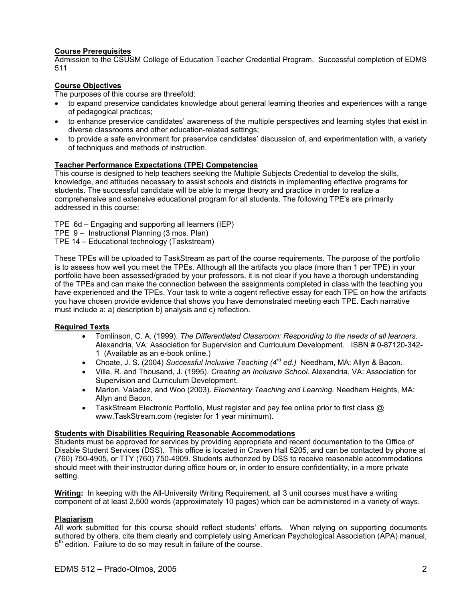### **Course Prerequisites**

Admission to the CSUSM College of Education Teacher Credential Program. Successful completion of EDMS 511

### **Course Objectives**

The purposes of this course are threefold:

- to expand preservice candidates knowledge about general learning theories and experiences with a range of pedagogical practices;
- to enhance preservice candidates' awareness of the multiple perspectives and learning styles that exist in diverse classrooms and other education-related settings;
- to provide a safe environment for preservice candidates' discussion of, and experimentation with, a variety of techniques and methods of instruction.

### **Teacher Performance Expectations (TPE) Competencies**

This course is designed to help teachers seeking the Multiple Subjects Credential to develop the skills, knowledge, and attitudes necessary to assist schools and districts in implementing effective programs for students. The successful candidate will be able to merge theory and practice in order to realize a comprehensive and extensive educational program for all students. The following TPE's are primarily addressed in this course:

- TPE 6d Engaging and supporting all learners (IEP)
- TPE 9 Instructional Planning (3 mos. Plan)
- TPE 14 Educational technology (Taskstream)

These TPEs will be uploaded to TaskStream as part of the course requirements. The purpose of the portfolio is to assess how well you meet the TPEs. Although all the artifacts you place (more than 1 per TPE) in your portfolio have been assessed/graded by your professors, it is not clear if you have a thorough understanding of the TPEs and can make the connection between the assignments completed in class with the teaching you have experienced and the TPEs. Your task to write a cogent reflective essay for each TPE on how the artifacts you have chosen provide evidence that shows you have demonstrated meeting each TPE. Each narrative must include a: a) description b) analysis and c) reflection.

#### **Required Texts**

- Tomlinson, C. A. (1999). *The Differentiated Classroom: Responding to the needs of all learners.*  Alexandria, VA: Association for Supervision and Curriculum Development. ISBN # 0-87120-342- 1 (Available as an e-book online.)
- Choate, J. S. (2004) *Successful Inclusive Teaching (4rd ed.)* Needham, MA: Allyn & Bacon.
- Villa, R. and Thousand, J. (1995). *Creating an Inclusive School*. Alexandria, VA: Association for Supervision and Curriculum Development.
- Marion, Valadez, and Woo (2003). *Elementary Teaching and Learning.* Needham Heights, MA: Allyn and Bacon.
- TaskStream Electronic Portfolio, Must register and pay fee online prior to first class  $\omega$ www.TaskStream.com (register for 1 year minimum).

#### **Students with Disabilities Requiring Reasonable Accommodations**

Students must be approved for services by providing appropriate and recent documentation to the Office of Disable Student Services (DSS). This office is located in Craven Hall 5205, and can be contacted by phone at (760) 750-4905, or TTY (760) 750-4909. Students authorized by DSS to receive reasonable accommodations should meet with their instructor during office hours or, in order to ensure confidentiality, in a more private setting.

**Writing:** In keeping with the All-University Writing Requirement, all 3 unit courses must have a writing component of at least 2,500 words (approximately 10 pages) which can be administered in a variety of ways.

#### **Plagiarism**

All work submitted for this course should reflect students' efforts. When relying on supporting documents authored by others, cite them clearly and completely using American Psychological Association (APA) manual,  $5<sup>th</sup>$  edition. Failure to do so may result in failure of the course.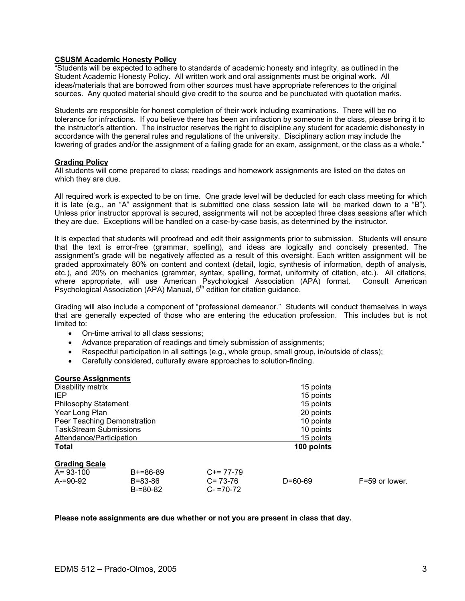#### **CSUSM Academic Honesty Policy**

"Students will be expected to adhere to standards of academic honesty and integrity, as outlined in the Student Academic Honesty Policy. All written work and oral assignments must be original work. All ideas/materials that are borrowed from other sources must have appropriate references to the original sources. Any quoted material should give credit to the source and be punctuated with quotation marks.

Students are responsible for honest completion of their work including examinations. There will be no tolerance for infractions. If you believe there has been an infraction by someone in the class, please bring it to the instructor's attention. The instructor reserves the right to discipline any student for academic dishonesty in accordance with the general rules and regulations of the university. Disciplinary action may include the lowering of grades and/or the assignment of a failing grade for an exam, assignment, or the class as a whole."

#### **Grading Policy**

All students will come prepared to class; readings and homework assignments are listed on the dates on which they are due.

All required work is expected to be on time. One grade level will be deducted for each class meeting for which it is late (e.g., an "A" assignment that is submitted one class session late will be marked down to a "B"). Unless prior instructor approval is secured, assignments will not be accepted three class sessions after which they are due. Exceptions will be handled on a case-by-case basis, as determined by the instructor.

It is expected that students will proofread and edit their assignments prior to submission. Students will ensure that the text is error-free (grammar, spelling), and ideas are logically and concisely presented. The assignment's grade will be negatively affected as a result of this oversight. Each written assignment will be graded approximately 80% on content and context (detail, logic, synthesis of information, depth of analysis, etc.), and 20% on mechanics (grammar, syntax, spelling, format, uniformity of citation, etc.). All citations, where appropriate, will use American Psychological Association (APA) format. Consult American Psychological Association (APA) Manual, 5<sup>th</sup> edition for citation guidance.

Grading will also include a component of "professional demeanor." Students will conduct themselves in ways that are generally expected of those who are entering the education profession. This includes but is not limited to:

- On-time arrival to all class sessions;
- Advance preparation of readings and timely submission of assignments;
- Respectful participation in all settings (e.g., whole group, small group, in/outside of class);
- Carefully considered, culturally aware approaches to solution-finding.

#### **Course Assignments**

| Disability matrix             |               |               | 15 points     |                |
|-------------------------------|---------------|---------------|---------------|----------------|
| IEP                           |               |               | 15 points     |                |
| <b>Philosophy Statement</b>   |               |               | 15 points     |                |
| Year Long Plan                |               |               | 20 points     |                |
| Peer Teaching Demonstration   |               |               | 10 points     |                |
| <b>TaskStream Submissions</b> |               |               | 10 points     |                |
| Attendance/Participation      |               |               | 15 points     |                |
| <b>Total</b>                  |               |               | 100 points    |                |
| <b>Grading Scale</b>          |               |               |               |                |
| $A = 93 - 100$                | $B+=86-89$    | $C+= 77-79$   |               |                |
| $A = 90 - 92$                 | $B = 83 - 86$ | $C = 73-76$   | $D = 60 - 69$ | F=59 or lower. |
|                               | $B = 80 - 82$ | $C - 70 - 72$ |               |                |

#### **Please note assignments are due whether or not you are present in class that day.**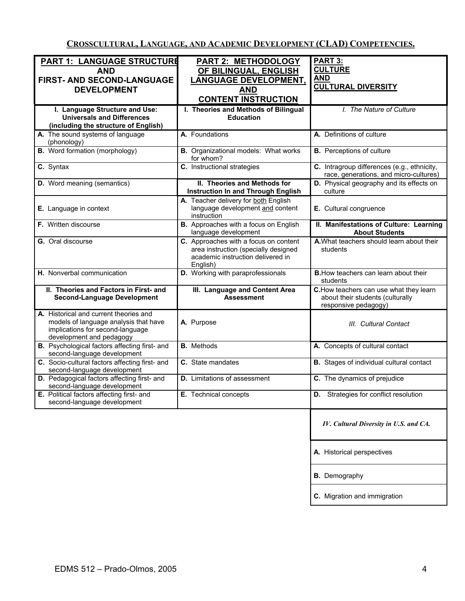**CROSSCULTURAL, LANGUAGE, AND ACADEMIC DEVELOPMENT (CLAD) COMPETENCIES.**

|                                                      |                                             | PART 3:                                         |
|------------------------------------------------------|---------------------------------------------|-------------------------------------------------|
| <b>PART 1: LANGUAGE STRUCTURE</b>                    | <b>PART 2: METHODOLOGY</b>                  |                                                 |
| <b>AND</b>                                           | OF BILINGUAL, ENGLISH                       | <b>CULTURE</b>                                  |
| FIRST- AND SECOND-LANGUAGE                           | <b>LANGUAGE DEVELOPMENT.</b>                | <b>AND</b>                                      |
| <b>DEVELOPMENT</b>                                   | <b>AND</b>                                  | <b>CULTURAL DIVERSITY</b>                       |
|                                                      |                                             |                                                 |
|                                                      | <b>CONTENT INSTRUCTION</b>                  |                                                 |
| I. Language Structure and Use:                       | I. Theories and Methods of Bilingual        | I. The Nature of Culture                        |
| <b>Universals and Differences</b>                    | <b>Education</b>                            |                                                 |
| (including the structure of English)                 |                                             |                                                 |
| A. The sound systems of language                     | A. Foundations                              | A. Definitions of culture                       |
| (phonology)                                          |                                             |                                                 |
| <b>B.</b> Word formation (morphology)                | <b>B.</b> Organizational models: What works | <b>B.</b> Perceptions of culture                |
|                                                      | for whom?                                   |                                                 |
| C. Syntax                                            | C. Instructional strategies                 | C. Intragroup differences (e.g., ethnicity,     |
|                                                      |                                             | race, generations, and micro-cultures)          |
|                                                      | II. Theories and Methods for                | D. Physical geography and its effects on        |
| D. Word meaning (semantics)                          |                                             | culture                                         |
|                                                      | <b>Instruction In and Through English</b>   |                                                 |
|                                                      | A. Teacher delivery for both English        |                                                 |
| E. Language in context                               | language development and content            | E. Cultural congruence                          |
|                                                      | instruction                                 |                                                 |
| F. Written discourse                                 | B. Approaches with a focus on English       | II. Manifestations of Culture: Learning         |
|                                                      | language development                        | <b>About Students</b>                           |
| G. Oral discourse                                    | C. Approaches with a focus on content       | A. What teachers should learn about their       |
|                                                      | area instruction (specially designed        | students                                        |
|                                                      | academic instruction delivered in           |                                                 |
|                                                      | English)                                    |                                                 |
| H. Nonverbal communication                           | D. Working with paraprofessionals           | <b>B.</b> How teachers can learn about their    |
|                                                      |                                             | students                                        |
| II. Theories and Factors in First- and               | III. Language and Content Area              | C. How teachers can use what they learn         |
| <b>Second-Language Development</b>                   | <b>Assessment</b>                           | about their students (culturally                |
|                                                      |                                             | responsive pedagogy)                            |
|                                                      |                                             |                                                 |
| A. Historical and current theories and               |                                             |                                                 |
| models of language analysis that have                | A. Purpose                                  | III. Cultural Contact                           |
| implications for second-language                     |                                             |                                                 |
| development and pedagogy                             |                                             |                                                 |
| <b>B.</b> Psychological factors affecting first- and | <b>B.</b> Methods                           | A. Concepts of cultural contact                 |
| second-language development                          |                                             |                                                 |
| C. Socio-cultural factors affecting first- and       | C. State mandates                           | <b>B.</b> Stages of individual cultural contact |
| second-language development                          |                                             |                                                 |
| D. Pedagogical factors affecting first- and          | <b>D.</b> Limitations of assessment         | C. The dynamics of prejudice                    |
| second-language development                          |                                             |                                                 |
| E. Political factors affecting first- and            | E. Technical concepts                       | <b>D.</b> Strategies for conflict resolution    |
| second-language development                          |                                             |                                                 |
|                                                      |                                             |                                                 |
|                                                      |                                             |                                                 |
|                                                      |                                             | IV. Cultural Diversity in U.S. and CA.          |
|                                                      |                                             |                                                 |
|                                                      |                                             |                                                 |
|                                                      |                                             |                                                 |
|                                                      |                                             |                                                 |
|                                                      |                                             | A. Historical perspectives                      |
|                                                      |                                             |                                                 |
|                                                      |                                             |                                                 |
|                                                      |                                             | <b>B.</b> Demography                            |

**C.** Migration and immigration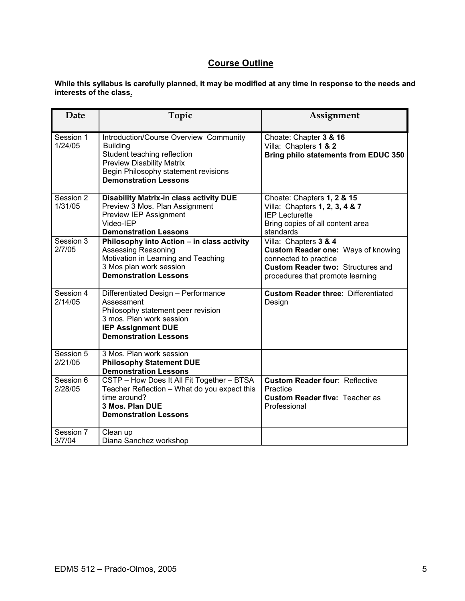## **Course Outline**

**While this syllabus is carefully planned, it may be modified at any time in response to the needs and interests of the class.** 

| Date                 | Topic                                                                                                                                                                                                | Assignment                                                                                                                                                           |
|----------------------|------------------------------------------------------------------------------------------------------------------------------------------------------------------------------------------------------|----------------------------------------------------------------------------------------------------------------------------------------------------------------------|
| Session 1<br>1/24/05 | Introduction/Course Overview Community<br><b>Building</b><br>Student teaching reflection<br><b>Preview Disability Matrix</b><br>Begin Philosophy statement revisions<br><b>Demonstration Lessons</b> | Choate: Chapter 3 & 16<br>Villa: Chapters 1 & 2<br>Bring philo statements from EDUC 350                                                                              |
| Session 2<br>1/31/05 | <b>Disability Matrix-in class activity DUE</b><br>Preview 3 Mos. Plan Assignment<br>Preview IEP Assignment<br>Video-IEP<br><b>Demonstration Lessons</b>                                              | Choate: Chapters 1, 2 & 15<br>Villa: Chapters 1, 2, 3, 4 & 7<br><b>IEP Lecturette</b><br>Bring copies of all content area<br>standards                               |
| Session 3<br>2/7/05  | Philosophy into Action - in class activity<br>Assessing Reasoning<br>Motivation in Learning and Teaching<br>3 Mos plan work session<br><b>Demonstration Lessons</b>                                  | Villa: Chapters 3 & 4<br>Custom Reader one: Ways of knowing<br>connected to practice<br><b>Custom Reader two: Structures and</b><br>procedures that promote learning |
| Session 4<br>2/14/05 | Differentiated Design - Performance<br>Assessment<br>Philosophy statement peer revision<br>3 mos. Plan work session<br><b>IEP Assignment DUE</b><br><b>Demonstration Lessons</b>                     | <b>Custom Reader three: Differentiated</b><br>Design                                                                                                                 |
| Session 5<br>2/21/05 | 3 Mos. Plan work session<br><b>Philosophy Statement DUE</b><br><b>Demonstration Lessons</b>                                                                                                          |                                                                                                                                                                      |
| Session 6<br>2/28/05 | CSTP - How Does It All Fit Together - BTSA<br>Teacher Reflection - What do you expect this<br>time around?<br>3 Mos. Plan DUE<br><b>Demonstration Lessons</b>                                        | <b>Custom Reader four: Reflective</b><br>Practice<br><b>Custom Reader five: Teacher as</b><br>Professional                                                           |
| Session 7<br>3/7/04  | Clean up<br>Diana Sanchez workshop                                                                                                                                                                   |                                                                                                                                                                      |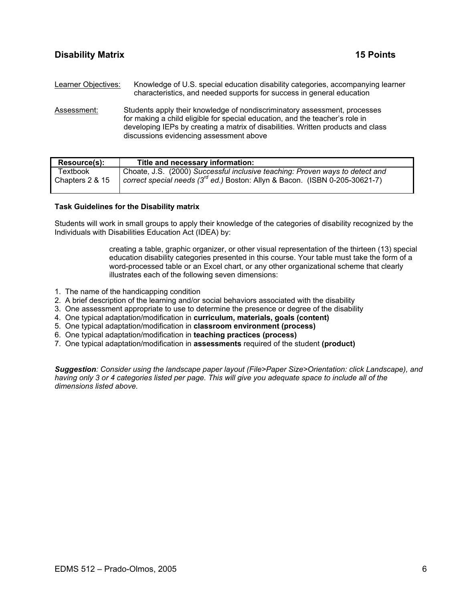Learner Objectives: Knowledge of U.S. special education disability categories, accompanying learner characteristics, and needed supports for success in general education

Assessment: Students apply their knowledge of nondiscriminatory assessment, processes for making a child eligible for special education, and the teacher's role in developing IEPs by creating a matrix of disabilities. Written products and class discussions evidencing assessment above

| Resource(s):    | Title and necessary information:                                                        |
|-----------------|-----------------------------------------------------------------------------------------|
| Textbook        | Choate, J.S. (2000) Successful inclusive teaching: Proven ways to detect and            |
| Chapters 2 & 15 | correct special needs (3 <sup>rd</sup> ed.) Boston: Allyn & Bacon. (ISBN 0-205-30621-7) |

#### **Task Guidelines for the Disability matrix**

Students will work in small groups to apply their knowledge of the categories of disability recognized by the Individuals with Disabilities Education Act (IDEA) by:

> creating a table, graphic organizer, or other visual representation of the thirteen (13) special education disability categories presented in this course. Your table must take the form of a word-processed table or an Excel chart, or any other organizational scheme that clearly illustrates each of the following seven dimensions:

- 1. The name of the handicapping condition
- 2. A brief description of the learning and/or social behaviors associated with the disability
- 3. One assessment appropriate to use to determine the presence or degree of the disability
- 4. One typical adaptation/modification in **curriculum, materials, goals (content)**
- 5. One typical adaptation/modification in **classroom environment (process)**
- 6. One typical adaptation/modification in **teaching practices (process)**
- 7. One typical adaptation/modification in **assessments** required of the student **(product)**

*Suggestion: Consider using the landscape paper layout (File>Paper Size>Orientation: click Landscape), and having only 3 or 4 categories listed per page. This will give you adequate space to include all of the dimensions listed above.*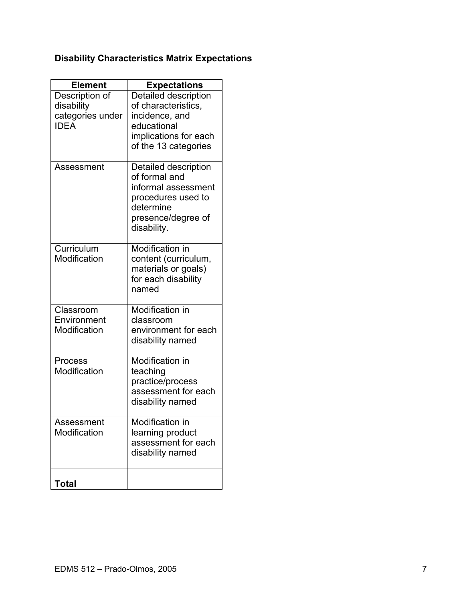# **Disability Characteristics Matrix Expectations**

| <b>Element</b>                  | <b>Expectations</b>               |
|---------------------------------|-----------------------------------|
| Description of                  | Detailed description              |
| disability                      | of characteristics,               |
| categories under<br><b>IDEA</b> | incidence, and<br>educational     |
|                                 | implications for each             |
|                                 | of the 13 categories              |
|                                 |                                   |
| Assessment                      | Detailed description              |
|                                 | of formal and                     |
|                                 | informal assessment               |
|                                 | procedures used to                |
|                                 | determine                         |
|                                 | presence/degree of<br>disability. |
|                                 |                                   |
| Curriculum                      | Modification in                   |
| Modification                    | content (curriculum,              |
|                                 | materials or goals)               |
|                                 | for each disability               |
|                                 | named                             |
| Classroom                       | Modification in                   |
| Environment                     | classroom                         |
| Modification                    | environment for each              |
|                                 | disability named                  |
| Process                         | Modification in                   |
| Modification                    | teaching                          |
|                                 | practice/process                  |
|                                 | assessment for each               |
|                                 | disability named                  |
| Assessment                      | Modification in                   |
| Modification                    | learning product                  |
|                                 | assessment for each               |
|                                 | disability named                  |
|                                 |                                   |
| Total                           |                                   |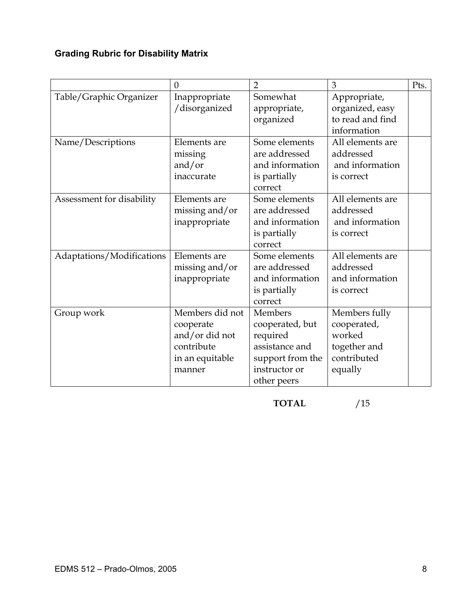# **Grading Rubric for Disability Matrix**

|                           | $\overline{0}$                                                                            | $\overline{2}$                                                                                               | 3                                                                                | Pts. |
|---------------------------|-------------------------------------------------------------------------------------------|--------------------------------------------------------------------------------------------------------------|----------------------------------------------------------------------------------|------|
| Table/Graphic Organizer   | Inappropriate<br>/disorganized                                                            | Somewhat<br>appropriate,<br>organized                                                                        | Appropriate,<br>organized, easy<br>to read and find<br>information               |      |
| Name/Descriptions         | Elements are<br>missing<br>and/or<br>inaccurate                                           | Some elements<br>are addressed<br>and information<br>is partially<br>correct                                 | All elements are<br>addressed<br>and information<br>is correct                   |      |
| Assessment for disability | Elements are<br>missing and/or<br>inappropriate                                           | Some elements<br>are addressed<br>and information<br>is partially<br>correct                                 | All elements are<br>addressed<br>and information<br>is correct                   |      |
| Adaptations/Modifications | Elements are<br>missing and/or<br>inappropriate                                           | Some elements<br>are addressed<br>and information<br>is partially<br>correct                                 | All elements are<br>addressed<br>and information<br>is correct                   |      |
| Group work                | Members did not<br>cooperate<br>and/or did not<br>contribute<br>in an equitable<br>manner | Members<br>cooperated, but<br>required<br>assistance and<br>support from the<br>instructor or<br>other peers | Members fully<br>cooperated,<br>worked<br>together and<br>contributed<br>equally |      |

**TOTAL** /15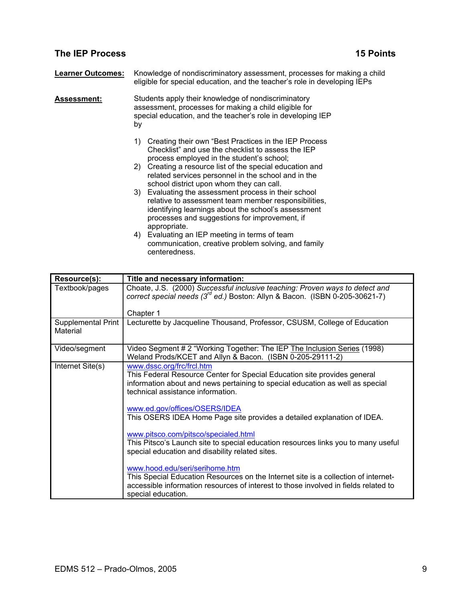## **The IEP Process** 15 Points **15 Points**

| <b>Learner Outcomes:</b> | Knowledge of nondiscriminatory assessment, processes for making a child<br>eligible for special education, and the teacher's role in developing IEPs                                                                                                                               |
|--------------------------|------------------------------------------------------------------------------------------------------------------------------------------------------------------------------------------------------------------------------------------------------------------------------------|
| Assessment:              | Students apply their knowledge of nondiscriminatory<br>assessment, processes for making a child eligible for<br>special education, and the teacher's role in developing IEP<br>by                                                                                                  |
|                          | Creating their own "Best Practices in the IEP Process"<br>1)<br>Checklist" and use the checklist to assess the IEP<br>process employed in the student's school;<br>2) Creating a resource list of the special education and<br>related services personnel in the school and in the |
|                          | school district upon whom they can call.<br>3) Evaluating the assessment process in their school<br>relative to assessment team member responsibilities,<br>identifying learnings about the school's assessment<br>processes and suggestions for improvement, if<br>appropriate.   |
|                          | Evaluating an IEP meeting in terms of team<br>4)<br>communication, creative problem solving, and family<br>centeredness.                                                                                                                                                           |

| Resource(s):                   | Title and necessary information:                                                                                                                                                                                                  |
|--------------------------------|-----------------------------------------------------------------------------------------------------------------------------------------------------------------------------------------------------------------------------------|
| Textbook/pages                 | Choate, J.S. (2000) Successful inclusive teaching: Proven ways to detect and<br>correct special needs $(3^{rd}$ ed.) Boston: Allyn & Bacon. (ISBN 0-205-30621-7)                                                                  |
|                                | Chapter 1                                                                                                                                                                                                                         |
| Supplemental Print<br>Material | Lecturette by Jacqueline Thousand, Professor, CSUSM, College of Education                                                                                                                                                         |
| Video/segment                  | Video Segment # 2 "Working Together: The IEP The Inclusion Series (1998)<br>Weland Prods/KCET and Allyn & Bacon. (ISBN 0-205-29111-2)                                                                                             |
| Internet Site(s)               | www.dssc.org/frc/frcl.htm<br>This Federal Resource Center for Special Education site provides general<br>information about and news pertaining to special education as well as special<br>technical assistance information.       |
|                                | www.ed.gov/offices/OSERS/IDEA<br>This OSERS IDEA Home Page site provides a detailed explanation of IDEA.                                                                                                                          |
|                                | www.pitsco.com/pitsco/specialed.html<br>This Pitsco's Launch site to special education resources links you to many useful<br>special education and disability related sites.                                                      |
|                                | www.hood.edu/seri/serihome.htm<br>This Special Education Resources on the Internet site is a collection of internet-<br>accessible information resources of interest to those involved in fields related to<br>special education. |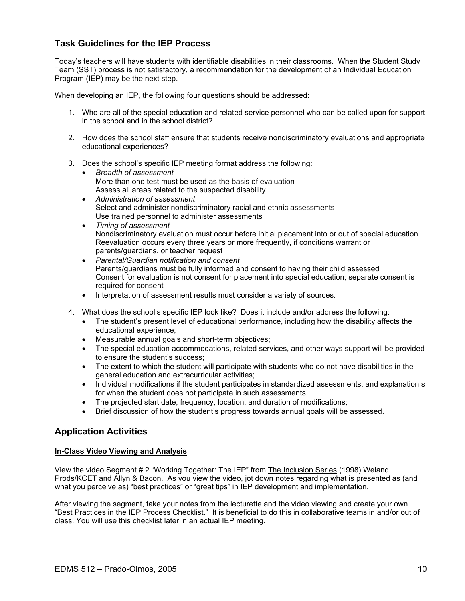## **Task Guidelines for the IEP Process**

Today's teachers will have students with identifiable disabilities in their classrooms. When the Student Study Team (SST) process is not satisfactory, a recommendation for the development of an Individual Education Program (IEP) may be the next step.

When developing an IEP, the following four questions should be addressed:

- 1. Who are all of the special education and related service personnel who can be called upon for support in the school and in the school district?
- 2. How does the school staff ensure that students receive nondiscriminatory evaluations and appropriate educational experiences?
- 3. Does the school's specific IEP meeting format address the following:
	- *Breadth of assessment*  More than one test must be used as the basis of evaluation Assess all areas related to the suspected disability
	- *Administration of assessment*  Select and administer nondiscriminatory racial and ethnic assessments Use trained personnel to administer assessments
	- *Timing of assessment*  Nondiscriminatory evaluation must occur before initial placement into or out of special education Reevaluation occurs every three years or more frequently, if conditions warrant or parents/guardians, or teacher request
	- *Parental/Guardian notification and consent*  Parents/guardians must be fully informed and consent to having their child assessed Consent for evaluation is not consent for placement into special education; separate consent is required for consent
	- Interpretation of assessment results must consider a variety of sources.
- 4. What does the school's specific IEP look like? Does it include and/or address the following:
	- The student's present level of educational performance, including how the disability affects the educational experience;
	- Measurable annual goals and short-term objectives;
	- The special education accommodations, related services, and other ways support will be provided to ensure the student's success;
	- The extent to which the student will participate with students who do not have disabilities in the general education and extracurricular activities;
	- Individual modifications if the student participates in standardized assessments, and explanation s for when the student does not participate in such assessments
	- The projected start date, frequency, location, and duration of modifications;
	- Brief discussion of how the student's progress towards annual goals will be assessed.

## **Application Activities**

#### **In-Class Video Viewing and Analysis**

View the video Segment # 2 "Working Together: The IEP" from The Inclusion Series (1998) Weland Prods/KCET and Allyn & Bacon. As you view the video, jot down notes regarding what is presented as (and what you perceive as) "best practices" or "great tips" in IEP development and implementation.

After viewing the segment, take your notes from the lecturette and the video viewing and create your own "Best Practices in the IEP Process Checklist." It is beneficial to do this in collaborative teams in and/or out of class. You will use this checklist later in an actual IEP meeting.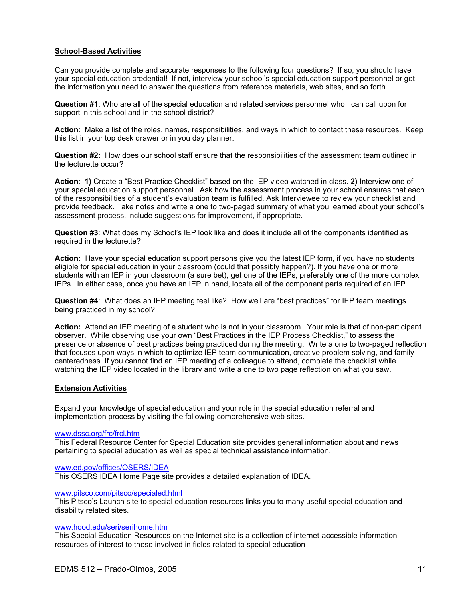#### **School-Based Activities**

Can you provide complete and accurate responses to the following four questions? If so, you should have your special education credential! If not, interview your school's special education support personnel or get the information you need to answer the questions from reference materials, web sites, and so forth.

**Question #1**: Who are all of the special education and related services personnel who I can call upon for support in this school and in the school district?

**Action**: Make a list of the roles, names, responsibilities, and ways in which to contact these resources. Keep this list in your top desk drawer or in you day planner.

**Question #2:** How does our school staff ensure that the responsibilities of the assessment team outlined in the lecturette occur?

**Action**: **1)** Create a "Best Practice Checklist" based on the IEP video watched in class. **2)** Interview one of your special education support personnel. Ask how the assessment process in your school ensures that each of the responsibilities of a student's evaluation team is fulfilled. Ask Interviewee to review your checklist and provide feedback. Take notes and write a one to two-paged summary of what you learned about your school's assessment process, include suggestions for improvement, if appropriate.

**Question #3**: What does my School's IEP look like and does it include all of the components identified as required in the lecturette?

**Action:** Have your special education support persons give you the latest IEP form, if you have no students eligible for special education in your classroom (could that possibly happen?). If you have one or more students with an IEP in your classroom (a sure bet), get one of the IEPs, preferably one of the more complex IEPs. In either case, once you have an IEP in hand, locate all of the component parts required of an IEP.

**Question #4**: What does an IEP meeting feel like? How well are "best practices" for IEP team meetings being practiced in my school?

**Action:** Attend an IEP meeting of a student who is not in your classroom. Your role is that of non-participant observer. While observing use your own "Best Practices in the IEP Process Checklist," to assess the presence or absence of best practices being practiced during the meeting. Write a one to two-paged reflection that focuses upon ways in which to optimize IEP team communication, creative problem solving, and family centeredness. If you cannot find an IEP meeting of a colleague to attend, complete the checklist while watching the IEP video located in the library and write a one to two page reflection on what you saw.

#### **Extension Activities**

Expand your knowledge of special education and your role in the special education referral and implementation process by visiting the following comprehensive web sites.

#### www.dssc.org/frc/frcl.htm

This Federal Resource Center for Special Education site provides general information about and news pertaining to special education as well as special technical assistance information.

#### www.ed.gov/offices/OSERS/IDEA

This OSERS IDEA Home Page site provides a detailed explanation of IDEA.

#### www.pitsco.com/pitsco/specialed.html

This Pitsco's Launch site to special education resources links you to many useful special education and disability related sites.

#### www.hood.edu/seri/serihome.htm

This Special Education Resources on the Internet site is a collection of internet-accessible information resources of interest to those involved in fields related to special education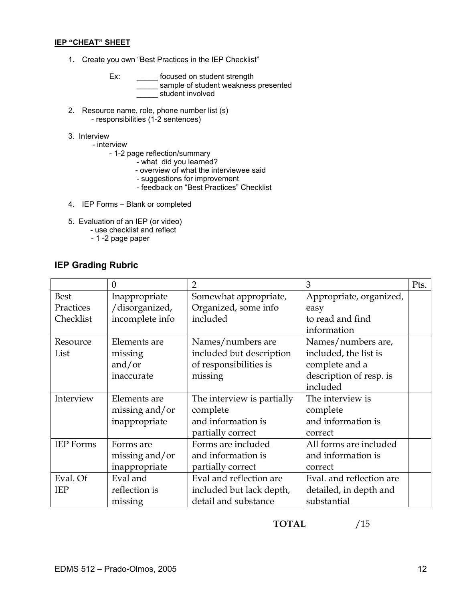#### **IEP "CHEAT" SHEET**

1. Create you own "Best Practices in the IEP Checklist"

Ex: \_\_\_\_\_\_\_ focused on student strength sample of student weakness presented  $\overline{\phantom{a}}$  student involved

- 2. Resource name, role, phone number list (s) - responsibilities (1-2 sentences)
- 3. Interview
	- interview
		- 1-2 page reflection/summary
- what did you learned?
- overview of what the interviewee said
	- suggestions for improvement
	- feedback on "Best Practices" Checklist
- 4. IEP Forms Blank or completed
- 5. Evaluation of an IEP (or video)
	- use checklist and reflect
		- 1 -2 page paper

## **IEP Grading Rubric**

|                  | $\theta$        | $\overline{2}$             | 3                        | Pts. |
|------------------|-----------------|----------------------------|--------------------------|------|
| <b>Best</b>      | Inappropriate   | Somewhat appropriate,      | Appropriate, organized,  |      |
| Practices        | /disorganized,  | Organized, some info       | easy                     |      |
| Checklist        | incomplete info | included                   | to read and find         |      |
|                  |                 |                            | information              |      |
| Resource         | Elements are    | Names/numbers are          | Names/numbers are,       |      |
| List             | missing         | included but description   | included, the list is    |      |
|                  | and/or          | of responsibilities is     | complete and a           |      |
|                  | inaccurate      | missing                    | description of resp. is  |      |
|                  |                 |                            | included                 |      |
| Interview        | Elements are    | The interview is partially | The interview is         |      |
|                  | missing and/or  | complete                   | complete                 |      |
|                  | inappropriate   | and information is         | and information is       |      |
|                  |                 | partially correct          | correct                  |      |
| <b>IEP</b> Forms | Forms are       | Forms are included         | All forms are included   |      |
|                  | missing and/or  | and information is         | and information is       |      |
|                  | inappropriate   | partially correct          | correct                  |      |
| Eval. Of         | Eval and        | Eval and reflection are    | Eval. and reflection are |      |
| <b>IEP</b>       | reflection is   | included but lack depth,   | detailed, in depth and   |      |
|                  | missing         | detail and substance       | substantial              |      |

**TOTAL** /15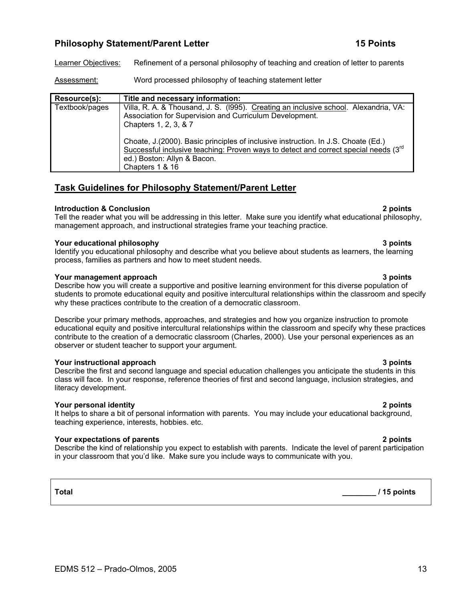## **Philosophy Statement/Parent Letter 15 Points 15 Points**

Learner Objectives: Refinement of a personal philosophy of teaching and creation of letter to parents

Assessment: Word processed philosophy of teaching statement letter

| <b>Resource(s):</b> | Title and necessary information:                                                                                                                                                                                                 |
|---------------------|----------------------------------------------------------------------------------------------------------------------------------------------------------------------------------------------------------------------------------|
| Textbook/pages      | Villa, R. A. & Thousand, J. S. (1995). Creating an inclusive school. Alexandria, VA:<br>Association for Supervision and Curriculum Development.<br>Chapters 1, 2, 3, & 7                                                         |
|                     | Choate, J. (2000). Basic principles of inclusive instruction. In J.S. Choate (Ed.)<br>Successful inclusive teaching: Proven ways to detect and correct special needs $(3^{rd}$<br>ed.) Boston: Allyn & Bacon.<br>Chapters 1 & 16 |

## **Task Guidelines for Philosophy Statement/Parent Letter**

### **Introduction & Conclusion 2 points**

Tell the reader what you will be addressing in this letter. Make sure you identify what educational philosophy, management approach, and instructional strategies frame your teaching practice.

### **Your educational philosophy 3 points**

Identify you educational philosophy and describe what you believe about students as learners, the learning process, families as partners and how to meet student needs.

### **Your management approach 3 points 3 points 3 points 3 points**

Describe how you will create a supportive and positive learning environment for this diverse population of students to promote educational equity and positive intercultural relationships within the classroom and specify why these practices contribute to the creation of a democratic classroom.

Describe your primary methods, approaches, and strategies and how you organize instruction to promote educational equity and positive intercultural relationships within the classroom and specify why these practices contribute to the creation of a democratic classroom (Charles, 2000). Use your personal experiences as an observer or student teacher to support your argument.

### **Your instructional approach 3 points**

Describe the first and second language and special education challenges you anticipate the students in this class will face. In your response, reference theories of first and second language, inclusion strategies, and literacy development.

## **Your personal identity 2 points**

It helps to share a bit of personal information with parents. You may include your educational background, teaching experience, interests, hobbies. etc.

## **Your expectations of parents 2 points**

Describe the kind of relationship you expect to establish with parents. Indicate the level of parent participation in your classroom that you'd like. Make sure you include ways to communicate with you.

## **Total \_\_\_\_\_\_\_\_ / 15 points**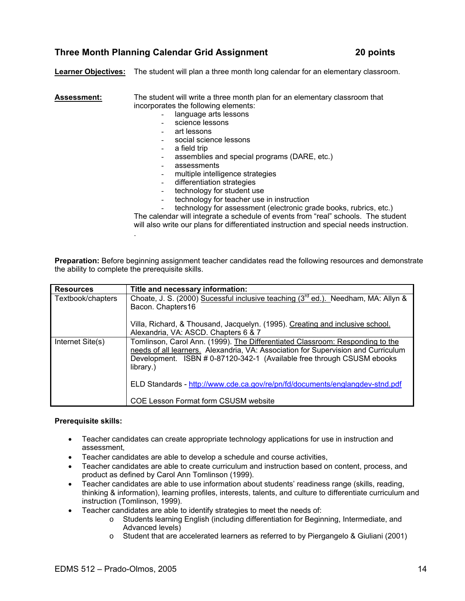## **Three Month Planning Calendar Grid Assignment 20 points**

**Learner Objectives:** The student will plan a three month long calendar for an elementary classroom.

### **Assessment:** The student will write a three month plan for an elementary classroom that incorporates the following elements:

- language arts lessons
- science lessons
- art lessons
- social science lessons
- a field trip
- assemblies and special programs (DARE, etc.)
- assessments
- multiple intelligence strategies
- differentiation strategies
- technology for student use
- technology for teacher use in instruction
- technology for assessment (electronic grade books, rubrics, etc.)

The calendar will integrate a schedule of events from "real" schools. The student will also write our plans for differentiated instruction and special needs instruction. .

**Preparation:** Before beginning assignment teacher candidates read the following resources and demonstrate the ability to complete the prerequisite skills.

| <b>Resources</b>  | Title and necessary information:                                                              |  |  |  |
|-------------------|-----------------------------------------------------------------------------------------------|--|--|--|
| Textbook/chapters | Choate, J. S. (2000) Sucessful inclusive teaching (3 <sup>rd</sup> ed.). Needham, MA: Allyn & |  |  |  |
|                   | Bacon. Chapters16                                                                             |  |  |  |
|                   | Villa, Richard, & Thousand, Jacquelyn. (1995). Creating and inclusive school.                 |  |  |  |
|                   | Alexandria, VA: ASCD. Chapters 6 & 7                                                          |  |  |  |
| Internet Site(s)  | Tomlinson, Carol Ann. (1999). The Differentiated Classroom: Responding to the                 |  |  |  |
|                   | needs of all learners. Alexandria, VA: Association for Supervision and Curriculum             |  |  |  |
|                   | Development. ISBN # 0-87120-342-1 (Available free through CSUSM ebooks                        |  |  |  |
|                   | library.)                                                                                     |  |  |  |
|                   | ELD Standards - http://www.cde.ca.gov/re/pn/fd/documents/englangdev-stnd.pdf                  |  |  |  |
|                   | COE Lesson Format form CSUSM website                                                          |  |  |  |

#### **Prerequisite skills:**

- Teacher candidates can create appropriate technology applications for use in instruction and assessment,
- Teacher candidates are able to develop a schedule and course activities,
- Teacher candidates are able to create curriculum and instruction based on content, process, and product as defined by Carol Ann Tomlinson (1999).
- Teacher candidates are able to use information about students' readiness range (skills, reading, thinking & information), learning profiles, interests, talents, and culture to differentiate curriculum and instruction (Tomlinson, 1999).
- Teacher candidates are able to identify strategies to meet the needs of:
	- o Students learning English (including differentiation for Beginning, Intermediate, and Advanced levels)
	- o Student that are accelerated learners as referred to by Piergangelo & Giuliani (2001)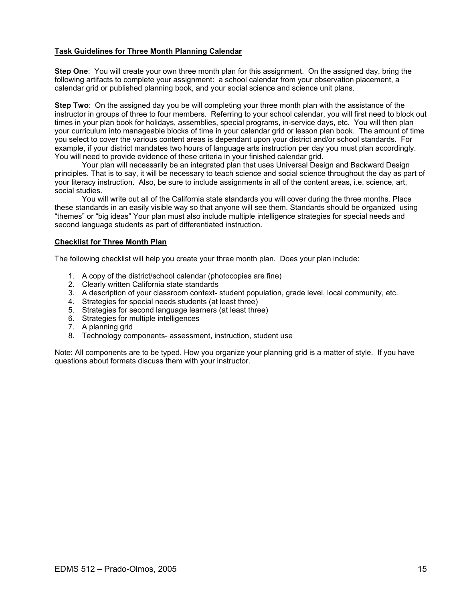#### **Task Guidelines for Three Month Planning Calendar**

**Step One**: You will create your own three month plan for this assignment. On the assigned day, bring the following artifacts to complete your assignment: a school calendar from your observation placement, a calendar grid or published planning book, and your social science and science unit plans.

**Step Two**: On the assigned day you be will completing your three month plan with the assistance of the instructor in groups of three to four members. Referring to your school calendar, you will first need to block out times in your plan book for holidays, assemblies, special programs, in-service days, etc. You will then plan your curriculum into manageable blocks of time in your calendar grid or lesson plan book. The amount of time you select to cover the various content areas is dependant upon your district and/or school standards. For example, if your district mandates two hours of language arts instruction per day you must plan accordingly. You will need to provide evidence of these criteria in your finished calendar grid.

 Your plan will necessarily be an integrated plan that uses Universal Design and Backward Design principles. That is to say, it will be necessary to teach science and social science throughout the day as part of your literacy instruction. Also, be sure to include assignments in all of the content areas, i.e. science, art, social studies.

 You will write out all of the California state standards you will cover during the three months. Place these standards in an easily visible way so that anyone will see them. Standards should be organized using "themes" or "big ideas" Your plan must also include multiple intelligence strategies for special needs and second language students as part of differentiated instruction.

#### **Checklist for Three Month Plan**

The following checklist will help you create your three month plan. Does your plan include:

- 1. A copy of the district/school calendar (photocopies are fine)
- 2. Clearly written California state standards
- 3. A description of your classroom context- student population, grade level, local community, etc.
- 4. Strategies for special needs students (at least three)
- 5. Strategies for second language learners (at least three)
- 6. Strategies for multiple intelligences
- 7. A planning grid
- 8. Technology components- assessment, instruction, student use

Note: All components are to be typed. How you organize your planning grid is a matter of style. If you have questions about formats discuss them with your instructor.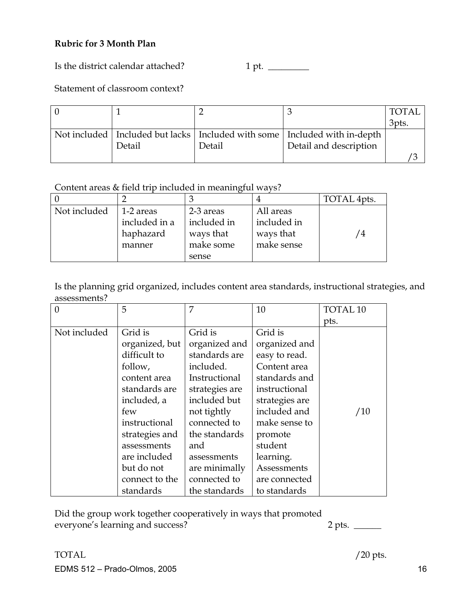## **Rubric for 3 Month Plan**

Is the district calendar attached? 1 pt. \_\_\_\_\_\_\_\_\_

## Statement of classroom context?

|        |        |                                                                                 | ' TOTAL |
|--------|--------|---------------------------------------------------------------------------------|---------|
|        |        |                                                                                 | 3pts.   |
|        |        | Not included   Included but lacks   Included with some   Included with in-depth |         |
| Detail | Detail | Detail and description                                                          |         |
|        |        |                                                                                 |         |

Content areas & field trip included in meaningful ways?

|              |               |             |             | TOTAL 4pts. |
|--------------|---------------|-------------|-------------|-------------|
| Not included | 1-2 areas     | 2-3 areas   | All areas   |             |
|              | included in a | included in | included in |             |
|              | haphazard     | ways that   | ways that   | 4           |
|              | manner        | make some   | make sense  |             |
|              |               | sense       |             |             |

Is the planning grid organized, includes content area standards, instructional strategies, and assessments?

| $\theta$     | 5              | 7              | 10             | <b>TOTAL 10</b> |
|--------------|----------------|----------------|----------------|-----------------|
|              |                |                |                | pts.            |
| Not included | Grid is        | Grid is        | Grid is        |                 |
|              | organized, but | organized and  | organized and  |                 |
|              | difficult to   | standards are  | easy to read.  |                 |
|              | follow,        | included.      | Content area   |                 |
|              | content area   | Instructional  | standards and  |                 |
|              | standards are  | strategies are | instructional  |                 |
|              | included, a    | included but   | strategies are |                 |
|              | few            | not tightly    | included and   | /10             |
|              | instructional  | connected to   | make sense to  |                 |
|              | strategies and | the standards  | promote        |                 |
|              | assessments    | and            | student        |                 |
|              | are included   | assessments    | learning.      |                 |
|              | but do not     | are minimally  | Assessments    |                 |
|              | connect to the | connected to   | are connected  |                 |
|              | standards      | the standards  | to standards   |                 |

Did the group work together cooperatively in ways that promoted everyone's learning and success? 2 pts.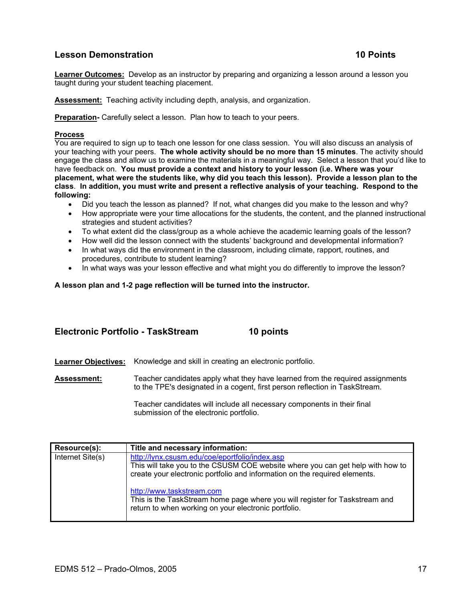## **Lesson Demonstration 10 Points 10 Points**

**Learner Outcomes:** Develop as an instructor by preparing and organizing a lesson around a lesson you taught during your student teaching placement.

**Assessment:** Teaching activity including depth, analysis, and organization.

**Preparation-** Carefully select a lesson. Plan how to teach to your peers.

#### **Process**

You are required to sign up to teach one lesson for one class session. You will also discuss an analysis of your teaching with your peers. **The whole activity should be no more than 15 minutes**. The activity should engage the class and allow us to examine the materials in a meaningful way. Select a lesson that you'd like to have feedback on. **You must provide a context and history to your lesson (i.e. Where was your placement, what were the students like, why did you teach this lesson). Provide a lesson plan to the class**. **In addition, you must write and present a reflective analysis of your teaching. Respond to the following:**

- Did you teach the lesson as planned? If not, what changes did you make to the lesson and why?
- How appropriate were your time allocations for the students, the content, and the planned instructional strategies and student activities?
- To what extent did the class/group as a whole achieve the academic learning goals of the lesson?
- How well did the lesson connect with the students' background and developmental information?
- In what ways did the environment in the classroom, including climate, rapport, routines, and procedures, contribute to student learning?
- In what ways was your lesson effective and what might you do differently to improve the lesson?

**A lesson plan and 1-2 page reflection will be turned into the instructor.** 

### **Electronic Portfolio - TaskStream 10 points**

**Learner Objectives:** Knowledge and skill in creating an electronic portfolio.

**Assessment:** Teacher candidates apply what they have learned from the required assignments to the TPE's designated in a cogent, first person reflection in TaskStream.

> Teacher candidates will include all necessary components in their final submission of the electronic portfolio.

| <b>Resource(s):</b> | Title and necessary information:                                                                                                                                                                               |
|---------------------|----------------------------------------------------------------------------------------------------------------------------------------------------------------------------------------------------------------|
| Internet Site(s)    | http://lynx.csusm.edu/coe/eportfolio/index.asp<br>This will take you to the CSUSM COE website where you can get help with how to<br>create your electronic portfolio and information on the required elements. |
|                     | http://www.taskstream.com<br>This is the TaskStream home page where you will register for Taskstream and<br>return to when working on your electronic portfolio.                                               |